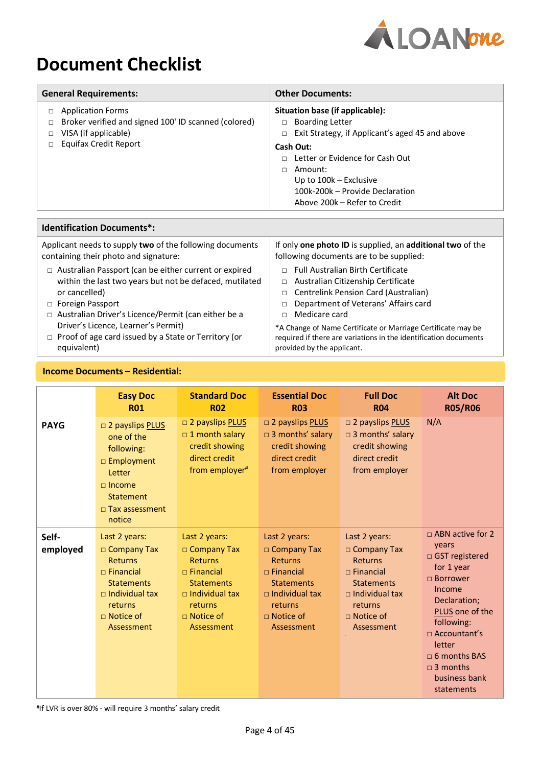

# **Document Checklist**

| <b>General Requirements:</b>                                                                                                                       | <b>Other Documents:</b>                                                                                                                                                                                                                                                                               |
|----------------------------------------------------------------------------------------------------------------------------------------------------|-------------------------------------------------------------------------------------------------------------------------------------------------------------------------------------------------------------------------------------------------------------------------------------------------------|
| <b>Application Forms</b><br>Broker verified and signed 100' ID scanned (colored)<br>П<br>VISA (if applicable)<br>П<br><b>Equifax Credit Report</b> | Situation base (if applicable):<br><b>Boarding Letter</b><br>$\Box$<br>Exit Strategy, if Applicant's aged 45 and above<br>$\Box$<br>Cash Out:<br>Letter or Evidence for Cash Out<br>n.<br>Amount:<br>П<br>Up to $100k -$ Exclusive<br>100k-200k – Provide Declaration<br>Above 200k – Refer to Credit |
|                                                                                                                                                    |                                                                                                                                                                                                                                                                                                       |

| Applicant needs to supply two of the following documents     | If only one photo ID is supplied, an additional two of the       |
|--------------------------------------------------------------|------------------------------------------------------------------|
| containing their photo and signature:                        | following documents are to be supplied:                          |
| $\Box$ Australian Passport (can be either current or expired | <b>Full Australian Birth Certificate</b>                         |
| within the last two years but not be defaced, mutilated      | Australian Citizenship Certificate                               |
| or cancelled)                                                | □ Centrelink Pension Card (Australian)                           |
| □ Foreign Passport                                           | Department of Veterans' Affairs card                             |
| □ Australian Driver's Licence/Permit (can either be a        | Medicare card                                                    |
| Driver's Licence, Learner's Permit)                          | *A Change of Name Certificate or Marriage Certificate may be     |
| $\Box$ Proof of age card issued by a State or Territory (or  | required if there are variations in the identification documents |
| equivalent)                                                  | provided by the applicant.                                       |

# **Income Documents – Residential:**

**Identification Documents\*:** 

#### **Easy Doc R01 Standard Doc R02 Essential Doc R03 Full Doc R04 Alt Doc R05/R06 PAYG** □ 2 payslips PLUS one of the following: □ Employment Letter □ Income **Statement** □ Tax assessment notice □ 2 payslips **PLUS** □ 1 month salary credit showing direct credit from employer<sup>#</sup> □ 2 payslips **PLUS** □ 3 months' salary credit showing direct credit from employer □ 2 payslips **PLUS** □ 3 months' salary credit showing direct credit from employer N/A **Selfemployed** Last 2 years: □ Company Tax Returns □ Financial **Statements** □ Individual tax returns □ Notice of Assessment Last 2 years: □ Company Tax **Returns** □ Financial **Statements** □ Individual tax returns □ Notice of Assessment Last 2 years: □ Company Tax Returns □ Financial **Statements** □ Individual tax returns □ Notice of Assessment Last 2 years: □ Company Tax Returns □ Financial **Statements** □ Individual tax returns □ Notice of Assessment □ ABN active for 2 years □ GST registered for 1 year □ Borrower Income Declaration; PLUS one of the following: □ Accountant's letter □ 6 months BAS  $\Box$  3 months business bank statements

#If LVR is over 80% - will require 3 months' salary credit